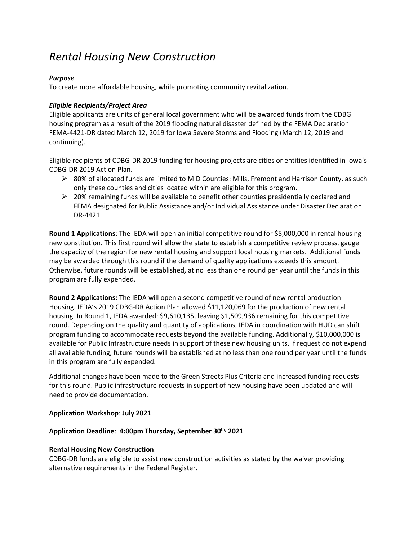# *Rental Housing New Construction*

### *Purpose*

To create more affordable housing, while promoting community revitalization.

## *Eligible Recipients/Project Area*

Eligible applicants are units of general local government who will be awarded funds from the CDBG housing program as a result of the 2019 flooding natural disaster defined by the FEMA Declaration FEMA-4421-DR dated March 12, 2019 for Iowa Severe Storms and Flooding (March 12, 2019 and continuing).

Eligible recipients of CDBG-DR 2019 funding for housing projects are cities or entities identified in Iowa's CDBG-DR 2019 Action Plan.

- $\triangleright$  80% of allocated funds are limited to MID Counties: Mills, Fremont and Harrison County, as such only these counties and cities located within are eligible for this program.
- $\geq$  20% remaining funds will be available to benefit other counties presidentially declared and FEMA designated for Public Assistance and/or Individual Assistance under Disaster Declaration DR-4421.

**Round 1 Applications**: The IEDA will open an initial competitive round for \$5,000,000 in rental housing new constitution. This first round will allow the state to establish a competitive review process, gauge the capacity of the region for new rental housing and support local housing markets. Additional funds may be awarded through this round if the demand of quality applications exceeds this amount. Otherwise, future rounds will be established, at no less than one round per year until the funds in this program are fully expended.

**Round 2 Applications:** The IEDA will open a second competitive round of new rental production Housing. IEDA's 2019 CDBG-DR Action Plan allowed \$11,120,069 for the production of new rental housing. In Round 1, IEDA awarded: \$9,610,135, leaving \$1,509,936 remaining for this competitive round. Depending on the quality and quantity of applications, IEDA in coordination with HUD can shift program funding to accommodate requests beyond the available funding. Additionally, \$10,000,000 is available for Public Infrastructure needs in support of these new housing units. If request do not expend all available funding, future rounds will be established at no less than one round per year until the funds in this program are fully expended.

Additional changes have been made to the Green Streets Plus Criteria and increased funding requests for this round. Public infrastructure requests in support of new housing have been updated and will need to provide documentation.

#### **Application Workshop**: **July 2021**

#### **Application Deadline**: **4:00pm Thursday, September 30th, 2021**

#### **Rental Housing New Construction**:

CDBG-DR funds are eligible to assist new construction activities as stated by the waiver providing alternative requirements in the Federal Register.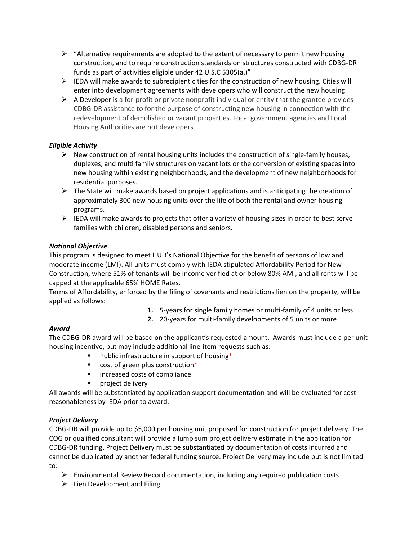- $\triangleright$  "Alternative requirements are adopted to the extent of necessary to permit new housing construction, and to require construction standards on structures constructed with CDBG-DR funds as part of activities eligible under 42 U.S.C 5305(a.)"
- $\triangleright$  IEDA will make awards to subrecipient cities for the construction of new housing. Cities will enter into development agreements with developers who will construct the new housing.
- $\triangleright$  A Developer is a for-profit or private nonprofit individual or entity that the grantee provides CDBG-DR assistance to for the purpose of constructing new housing in connection with the redevelopment of demolished or vacant properties. Local government agencies and Local Housing Authorities are not developers.

## *Eligible Activity*

- $\triangleright$  New construction of rental housing units includes the construction of single-family houses, duplexes, and multi family structures on vacant lots or the conversion of existing spaces into new housing within existing neighborhoods, and the development of new neighborhoods for residential purposes.
- $\triangleright$  The State will make awards based on project applications and is anticipating the creation of approximately 300 new housing units over the life of both the rental and owner housing programs.
- $\triangleright$  IEDA will make awards to projects that offer a variety of housing sizes in order to best serve families with children, disabled persons and seniors.

## *National Objective*

This program is designed to meet HUD's National Objective for the benefit of persons of low and moderate income (LMI). All units must comply with IEDA stipulated Affordability Period for New Construction, where 51% of tenants will be income verified at or below 80% AMI, and all rents will be capped at the applicable 65% HOME Rates.

Terms of Affordability, enforced by the filing of covenants and restrictions lien on the property, will be applied as follows:

- **1.** 5-years for single family homes or multi-family of 4 units or less
- **2.** 20-years for multi-family developments of 5 units or more

## *Award*

The CDBG-DR award will be based on the applicant's requested amount. Awards must include a per unit housing incentive, but may include additional line-item requests such as:

- **Public infrastructure in support of housing\***
- cost of green plus construction\*
- **Increased costs of compliance**
- **Project delivery**

All awards will be substantiated by application support documentation and will be evaluated for cost reasonableness by IEDA prior to award.

# *Project Delivery*

CDBG-DR will provide up to \$5,000 per housing unit proposed for construction for project delivery. The COG or qualified consultant will provide a lump sum project delivery estimate in the application for CDBG-DR funding. Project Delivery must be substantiated by documentation of costs incurred and cannot be duplicated by another federal funding source. Project Delivery may include but is not limited to:

- $\triangleright$  Environmental Review Record documentation, including any required publication costs
- $\triangleright$  Lien Development and Filing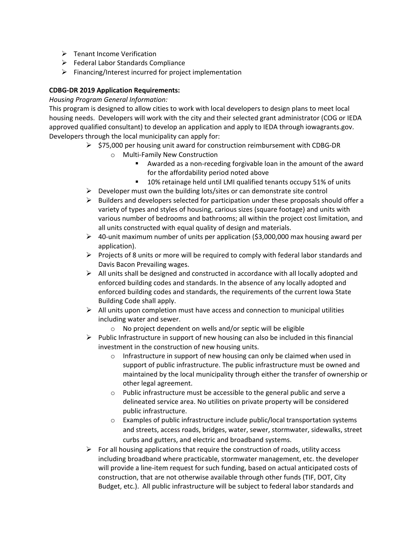- $\triangleright$  Tenant Income Verification
- $\triangleright$  Federal Labor Standards Compliance
- $\triangleright$  Financing/Interest incurred for project implementation

### **CDBG-DR 2019 Application Requirements:**

*Housing Program General Information:*

This program is designed to allow cities to work with local developers to design plans to meet local housing needs. Developers will work with the city and their selected grant administrator (COG or IEDA approved qualified consultant) to develop an application and apply to IEDA through iowagrants.gov. Developers through the local municipality can apply for:

- $\triangleright$  \$75,000 per housing unit award for construction reimbursement with CDBG-DR
	- o Multi-Family New Construction
		- Awarded as a non-receding forgivable loan in the amount of the award for the affordability period noted above
		- 10% retainage held until LMI qualified tenants occupy 51% of units
- $\triangleright$  Developer must own the building lots/sites or can demonstrate site control
- $\triangleright$  Builders and developers selected for participation under these proposals should offer a variety of types and styles of housing, carious sizes (square footage) and units with various number of bedrooms and bathrooms; all within the project cost limitation, and all units constructed with equal quality of design and materials.
- $\triangleright$  40-unit maximum number of units per application (\$3,000,000 max housing award per application).
- $\triangleright$  Projects of 8 units or more will be required to comply with federal labor standards and Davis Bacon Prevailing wages.
- $\triangleright$  All units shall be designed and constructed in accordance with all locally adopted and enforced building codes and standards. In the absence of any locally adopted and enforced building codes and standards, the requirements of the current Iowa State Building Code shall apply.
- $\triangleright$  All units upon completion must have access and connection to municipal utilities including water and sewer.
	- o No project dependent on wells and/or septic will be eligible
- $\triangleright$  Public Infrastructure in support of new housing can also be included in this financial investment in the construction of new housing units.
	- o Infrastructure in support of new housing can only be claimed when used in support of public infrastructure. The public infrastructure must be owned and maintained by the local municipality through either the transfer of ownership or other legal agreement.
	- o Public infrastructure must be accessible to the general public and serve a delineated service area. No utilities on private property will be considered public infrastructure.
	- o Examples of public infrastructure include public/local transportation systems and streets, access roads, bridges, water, sewer, stormwater, sidewalks, street curbs and gutters, and electric and broadband systems.
- $\triangleright$  For all housing applications that require the construction of roads, utility access including broadband where practicable, stormwater management, etc. the developer will provide a line-item request for such funding, based on actual anticipated costs of construction, that are not otherwise available through other funds (TIF, DOT, City Budget, etc.). All public infrastructure will be subject to federal labor standards and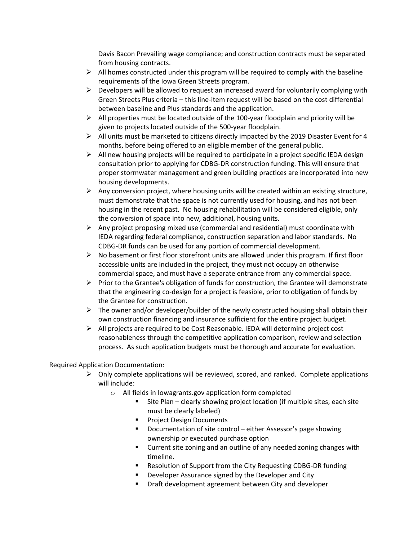Davis Bacon Prevailing wage compliance; and construction contracts must be separated from housing contracts.

- $\triangleright$  All homes constructed under this program will be required to comply with the baseline requirements of the Iowa Green Streets program.
- $\triangleright$  Developers will be allowed to request an increased award for voluntarily complying with Green Streets Plus criteria – this line-item request will be based on the cost differential between baseline and Plus standards and the application.
- $\triangleright$  All properties must be located outside of the 100-year floodplain and priority will be given to projects located outside of the 500-year floodplain.
- $\triangleright$  All units must be marketed to citizens directly impacted by the 2019 Disaster Event for 4 months, before being offered to an eligible member of the general public.
- $\triangleright$  All new housing projects will be required to participate in a project specific IEDA design consultation prior to applying for CDBG-DR construction funding. This will ensure that proper stormwater management and green building practices are incorporated into new housing developments.
- $\triangleright$  Any conversion project, where housing units will be created within an existing structure, must demonstrate that the space is not currently used for housing, and has not been housing in the recent past. No housing rehabilitation will be considered eligible, only the conversion of space into new, additional, housing units.
- $\triangleright$  Any project proposing mixed use (commercial and residential) must coordinate with IEDA regarding federal compliance, construction separation and labor standards. No CDBG-DR funds can be used for any portion of commercial development.
- $\triangleright$  No basement or first floor storefront units are allowed under this program. If first floor accessible units are included in the project, they must not occupy an otherwise commercial space, and must have a separate entrance from any commercial space.
- $\triangleright$  Prior to the Grantee's obligation of funds for construction, the Grantee will demonstrate that the engineering co-design for a project is feasible, prior to obligation of funds by the Grantee for construction.
- $\triangleright$  The owner and/or developer/builder of the newly constructed housing shall obtain their own construction financing and insurance sufficient for the entire project budget.
- $\triangleright$  All projects are required to be Cost Reasonable. IEDA will determine project cost reasonableness through the competitive application comparison, review and selection process. As such application budgets must be thorough and accurate for evaluation.

Required Application Documentation:

- $\triangleright$  Only complete applications will be reviewed, scored, and ranked. Complete applications will include:
	- o All fields in Iowagrants.gov application form completed
		- **Site Plan clearly showing project location (if multiple sites, each site** must be clearly labeled)
		- **Project Design Documents**
		- Documentation of site control either Assessor's page showing ownership or executed purchase option
		- **EXTER** Current site zoning and an outline of any needed zoning changes with timeline.
		- Resolution of Support from the City Requesting CDBG-DR funding
		- **Developer Assurance signed by the Developer and City**
		- **•** Draft development agreement between City and developer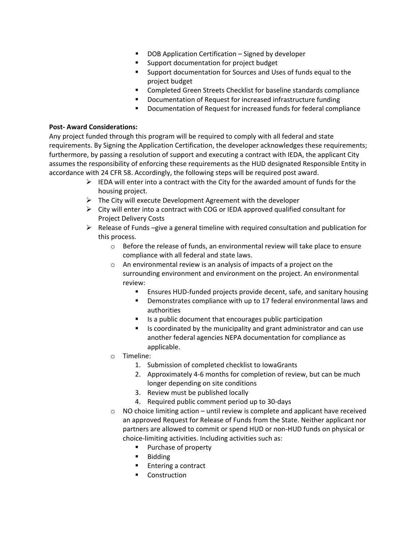- DOB Application Certification Signed by developer
- **Support documentation for project budget**
- Support documentation for Sources and Uses of funds equal to the project budget
- **EXECOMPLETED GREETS** Checklist for baseline standards compliance
- Documentation of Request for increased infrastructure funding
- **Documentation of Request for increased funds for federal compliance**

#### **Post- Award Considerations:**

Any project funded through this program will be required to comply with all federal and state requirements. By Signing the Application Certification, the developer acknowledges these requirements; furthermore, by passing a resolution of support and executing a contract with IEDA, the applicant City assumes the responsibility of enforcing these requirements as the HUD designated Responsible Entity in accordance with 24 CFR 58. Accordingly, the following steps will be required post award.

- $\triangleright$  IEDA will enter into a contract with the City for the awarded amount of funds for the housing project.
- $\triangleright$  The City will execute Development Agreement with the developer
- $\triangleright$  City will enter into a contract with COG or IEDA approved qualified consultant for Project Delivery Costs
- $\triangleright$  Release of Funds –give a general timeline with required consultation and publication for this process.
	- o Before the release of funds, an environmental review will take place to ensure compliance with all federal and state laws.
	- $\circ$  An environmental review is an analysis of impacts of a project on the surrounding environment and environment on the project. An environmental review:
		- **Ensures HUD-funded projects provide decent, safe, and sanitary housing**
		- **•** Demonstrates compliance with up to 17 federal environmental laws and authorities
		- $\blacksquare$  Is a public document that encourages public participation
		- If Is coordinated by the municipality and grant administrator and can use another federal agencies NEPA documentation for compliance as applicable.
	- o Timeline:
		- 1. Submission of completed checklist to IowaGrants
		- 2. Approximately 4-6 months for completion of review, but can be much longer depending on site conditions
		- 3. Review must be published locally
		- 4. Required public comment period up to 30-days
	- $\circ$  NO choice limiting action until review is complete and applicant have received an approved Request for Release of Funds from the State. Neither applicant nor partners are allowed to commit or spend HUD or non-HUD funds on physical or choice-limiting activities. Including activities such as:
		- **Purchase of property**
		- **Bidding**
		- **Entering a contract**
		- **•** Construction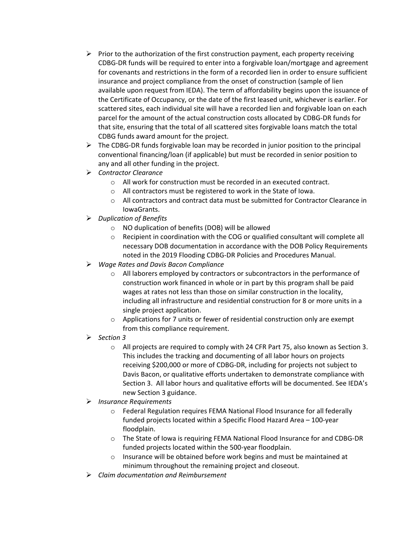- $\triangleright$  Prior to the authorization of the first construction payment, each property receiving CDBG-DR funds will be required to enter into a forgivable loan/mortgage and agreement for covenants and restrictions in the form of a recorded lien in order to ensure sufficient insurance and project compliance from the onset of construction (sample of lien available upon request from IEDA). The term of affordability begins upon the issuance of the Certificate of Occupancy, or the date of the first leased unit, whichever is earlier. For scattered sites, each individual site will have a recorded lien and forgivable loan on each parcel for the amount of the actual construction costs allocated by CDBG-DR funds for that site, ensuring that the total of all scattered sites forgivable loans match the total CDBG funds award amount for the project.
- $\triangleright$  The CDBG-DR funds forgivable loan may be recorded in junior position to the principal conventional financing/loan (if applicable) but must be recorded in senior position to any and all other funding in the project.
- *Contractor Clearance*
	- o All work for construction must be recorded in an executed contract.
	- o All contractors must be registered to work in the State of Iowa.
	- o All contractors and contract data must be submitted for Contractor Clearance in IowaGrants.
- *Duplication of Benefits* 
	- o NO duplication of benefits (DOB) will be allowed
	- $\circ$  Recipient in coordination with the COG or qualified consultant will complete all necessary DOB documentation in accordance with the DOB Policy Requirements noted in the 2019 Flooding CDBG-DR Policies and Procedures Manual.
- *Wage Rates and Davis Bacon Compliance* 
	- o All laborers employed by contractors or subcontractors in the performance of construction work financed in whole or in part by this program shall be paid wages at rates not less than those on similar construction in the locality, including all infrastructure and residential construction for 8 or more units in a single project application.
	- $\circ$  Applications for 7 units or fewer of residential construction only are exempt from this compliance requirement.
- *Section 3* 
	- o All projects are required to comply with 24 CFR Part 75, also known as Section 3. This includes the tracking and documenting of all labor hours on projects receiving \$200,000 or more of CDBG-DR, including for projects not subject to Davis Bacon, or qualitative efforts undertaken to demonstrate compliance with Section 3. All labor hours and qualitative efforts will be documented. See IEDA's new Section 3 guidance.
- *Insurance Requirements*
	- o Federal Regulation requires FEMA National Flood Insurance for all federally funded projects located within a Specific Flood Hazard Area – 100-year floodplain.
	- o The State of Iowa is requiring FEMA National Flood Insurance for and CDBG-DR funded projects located within the 500-year floodplain.
	- o Insurance will be obtained before work begins and must be maintained at minimum throughout the remaining project and closeout.
- *Claim documentation and Reimbursement*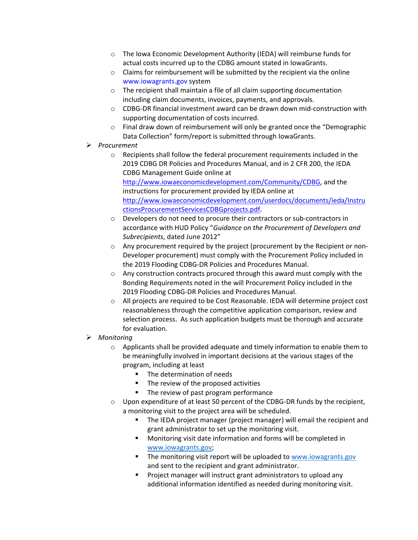- o The Iowa Economic Development Authority (IEDA) will reimburse funds for actual costs incurred up to the CDBG amount stated in IowaGrants.
- $\circ$  Claims for reimbursement will be submitted by the recipient via the online www.iowagrants.gov system
- o The recipient shall maintain a file of all claim supporting documentation including claim documents, invoices, payments, and approvals.
- o CDBG-DR financial investment award can be drawn down mid-construction with supporting documentation of costs incurred.
- o Final draw down of reimbursement will only be granted once the "Demographic Data Collection" form/report is submitted through IowaGrants.
- *Procurement*
	- o Recipients shall follow the federal procurement requirements included in the 2019 CDBG DR Policies and Procedures Manual, and in 2 CFR 200, the IEDA CDBG Management Guide online at [http://www.iowaeconomicdevelopment.com/Community/CDBG,](http://www.iowaeconomicdevelopment.com/Community/CDBG) and the instructions for procurement provided by IEDA online at [http://www.iowaeconomicdevelopment.com/userdocs/documents/ieda/Instru](http://www.iowaeconomicdevelopment.com/userdocs/documents/ieda/InstructionsProcurementServicesCDBGprojects.pdf) [ctionsProcurementServicesCDBGprojects.pdf.](http://www.iowaeconomicdevelopment.com/userdocs/documents/ieda/InstructionsProcurementServicesCDBGprojects.pdf)
	- o Developers do not need to procure their contractors or sub-contractors in accordance with HUD Policy "*Guidance on the Procurement of Developers and Subrecipients*, dated June 2012"
	- o Any procurement required by the project (procurement by the Recipient or non-Developer procurement) must comply with the Procurement Policy included in the 2019 Flooding CDBG-DR Policies and Procedures Manual.
	- o Any construction contracts procured through this award must comply with the Bonding Requirements noted in the will Procurement Policy included in the 2019 Flooding CDBG-DR Policies and Procedures Manual.
	- $\circ$  All projects are required to be Cost Reasonable. IEDA will determine project cost reasonableness through the competitive application comparison, review and selection process. As such application budgets must be thorough and accurate for evaluation.
- *Monitoring*
	- $\circ$  Applicants shall be provided adequate and timely information to enable them to be meaningfully involved in important decisions at the various stages of the program, including at least
		- **The determination of needs**
		- The review of the proposed activities
		- **The review of past program performance**
	- o Upon expenditure of at least 50 percent of the CDBG-DR funds by the recipient, a monitoring visit to the project area will be scheduled.
		- **The IEDA project manager (project manager) will email the recipient and** grant administrator to set up the monitoring visit.
		- Monitoring visit date information and forms will be completed in [www.iowagrants.gov;](http://www.iowagrants.gov/)
		- The monitoring visit report will be uploaded to [www.iowagrants.gov](http://www.iowagrants.gov/) and sent to the recipient and grant administrator.
		- **Project manager will instruct grant administrators to upload any** additional information identified as needed during monitoring visit.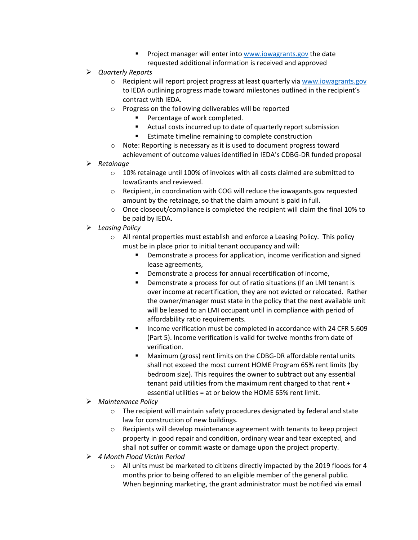- **Project manager will enter into [www.iowagrants.gov](http://www.iowagrants.gov/) the date** requested additional information is received and approved
- *Quarterly Reports*
	- $\circ$  Recipient will report project progress at least quarterly vi[a www.iowagrants.gov](http://www.iowagrants.gov/) to IEDA outlining progress made toward milestones outlined in the recipient's contract with IEDA.
	- o Progress on the following deliverables will be reported
		- **Percentage of work completed.**
		- Actual costs incurred up to date of quarterly report submission
		- **Extimate timeline remaining to complete construction**
	- o Note: Reporting is necessary as it is used to document progress toward achievement of outcome values identified in IEDA's CDBG-DR funded proposal
- *Retainage*
	- o 10% retainage until 100% of invoices with all costs claimed are submitted to IowaGrants and reviewed.
	- o Recipient, in coordination with COG will reduce the iowagants.gov requested amount by the retainage, so that the claim amount is paid in full.
	- $\circ$  Once closeout/compliance is completed the recipient will claim the final 10% to be paid by IEDA.
- *Leasing Policy*
	- $\circ$  All rental properties must establish and enforce a Leasing Policy. This policy must be in place prior to initial tenant occupancy and will:
		- **•** Demonstrate a process for application, income verification and signed lease agreements,
		- Demonstrate a process for annual recertification of income,
		- Demonstrate a process for out of ratio situations (If an LMI tenant is over income at recertification, they are not evicted or relocated. Rather the owner/manager must state in the policy that the next available unit will be leased to an LMI occupant until in compliance with period of affordability ratio requirements.
		- **Income verification must be completed in accordance with 24 CFR 5.609** (Part 5). Income verification is valid for twelve months from date of verification.
		- **Maximum (gross) rent limits on the CDBG-DR affordable rental units** shall not exceed the most current HOME Program 65% rent limits (by bedroom size). This requires the owner to subtract out any essential tenant paid utilities from the maximum rent charged to that rent + essential utilities = at or below the HOME 65% rent limit.
- *Maintenance Policy*
	- o The recipient will maintain safety procedures designated by federal and state law for construction of new buildings.
	- $\circ$  Recipients will develop maintenance agreement with tenants to keep project property in good repair and condition, ordinary wear and tear excepted, and shall not suffer or commit waste or damage upon the project property.
- *4 Month Flood Victim Period* 
	- o All units must be marketed to citizens directly impacted by the 2019 floods for 4 months prior to being offered to an eligible member of the general public. When beginning marketing, the grant administrator must be notified via email